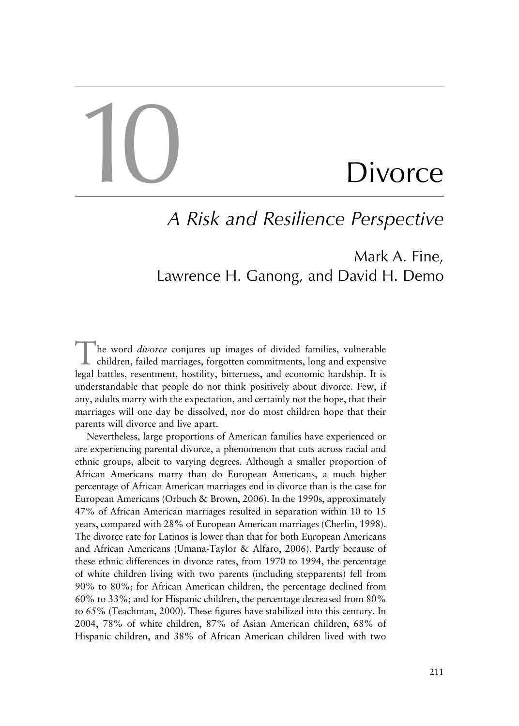# 10

# **Divorce**

## *A Risk and Resilience Perspective*

### Mark A. Fine, Lawrence H. Ganong, and David H. Demo

The word *divorce* conjures up images of divided families, vulnerable children, failed marriages, forgotten commitments, long and expensive legal battles, resentment, hostility, bitterness, and economic hardship. It is understandable that people do not think positively about divorce. Few, if any, adults marry with the expectation, and certainly not the hope, that their marriages will one day be dissolved, nor do most children hope that their parents will divorce and live apart.

Nevertheless, large proportions of American families have experienced or are experiencing parental divorce, a phenomenon that cuts across racial and ethnic groups, albeit to varying degrees. Although a smaller proportion of African Americans marry than do European Americans, a much higher percentage of African American marriages end in divorce than is the case for European Americans (Orbuch & Brown, 2006). In the 1990s, approximately 47% of African American marriages resulted in separation within 10 to 15 years, compared with 28% of European American marriages (Cherlin, 1998). The divorce rate for Latinos is lower than that for both European Americans and African Americans (Umana-Taylor & Alfaro, 2006). Partly because of these ethnic differences in divorce rates, from 1970 to 1994, the percentage of white children living with two parents (including stepparents) fell from 90% to 80%; for African American children, the percentage declined from 60% to 33%; and for Hispanic children, the percentage decreased from 80% to 65% (Teachman, 2000). These figures have stabilized into this century. In 2004, 78% of white children, 87% of Asian American children, 68% of Hispanic children, and 38% of African American children lived with two